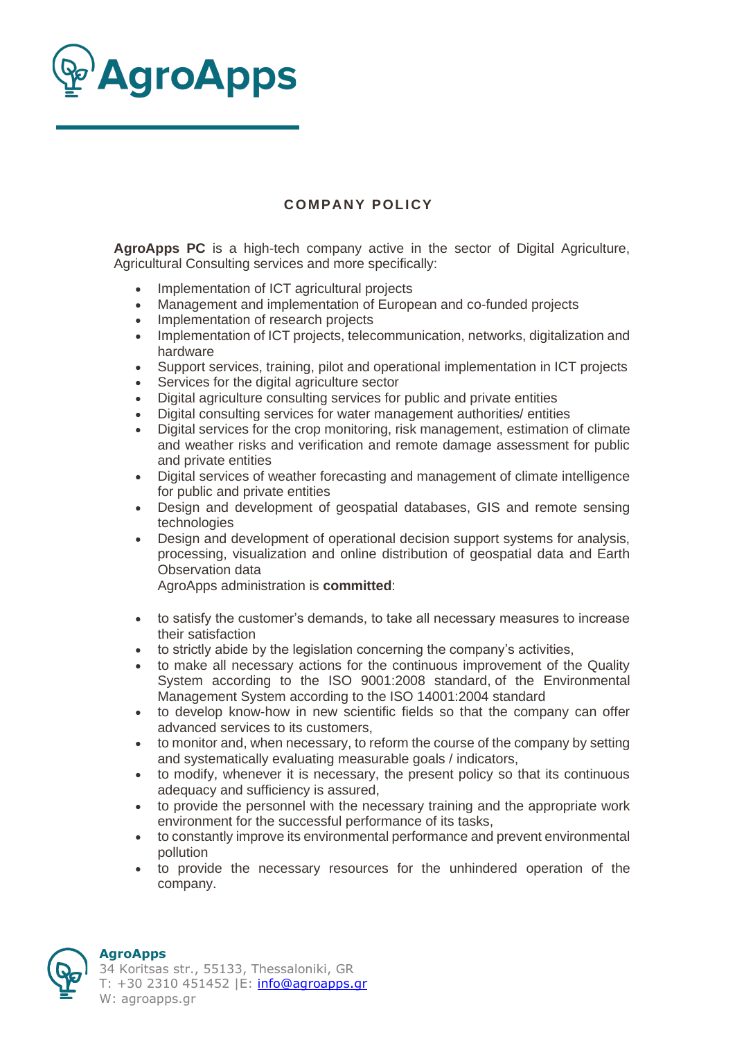

## **COMPANY POLICY**

**AgroApps PC** is a high-tech company active in the sector of Digital Agriculture, Agricultural Consulting services and more specifically:

- Implementation of ICT agricultural projects
- Management and implementation of European and co-funded projects
- Implementation of research projects
- Implementation of ICT projects, telecommunication, networks, digitalization and hardware
- Support services, training, pilot and operational implementation in ICT projects
- Services for the digital agriculture sector
- Digital agriculture consulting services for public and private entities
- Digital consulting services for water management authorities/ entities
- Digital services for the crop monitoring, risk management, estimation of climate and weather risks and verification and remote damage assessment for public and private entities
- Digital services of weather forecasting and management of climate intelligence for public and private entities
- Design and development of geospatial databases, GIS and remote sensing technologies
- Design and development of operational decision support systems for analysis, processing, visualization and online distribution of geospatial data and Earth Observation data

AgroApps administration is **committed**:

- to satisfy the customer's demands, to take all necessary measures to increase their satisfaction
- to strictly abide by the legislation concerning the company's activities,
- to make all necessary actions for the continuous improvement of the Quality System according to the ISO 9001:2008 standard, of the Environmental Management System according to the ISO 14001:2004 standard
- to develop know-how in new scientific fields so that the company can offer advanced services to its customers,
- to monitor and, when necessary, to reform the course of the company by setting and systematically evaluating measurable goals / indicators,
- to modify, whenever it is necessary, the present policy so that its continuous adequacy and sufficiency is assured,
- to provide the personnel with the necessary training and the appropriate work environment for the successful performance of its tasks,
- to constantly improve its environmental performance and prevent environmental pollution
- to provide the necessary resources for the unhindered operation of the company.



## **AgroApps**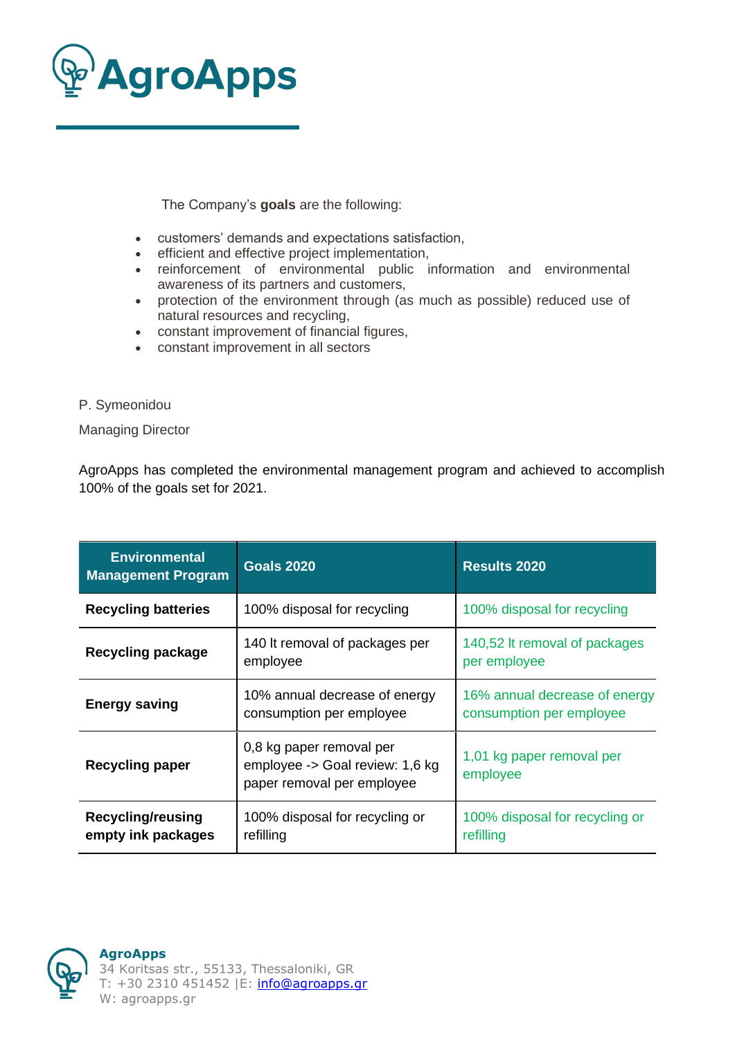

The Company's **goals** are the following:

- customers' demands and expectations satisfaction,
- efficient and effective project implementation,
- reinforcement of environmental public information and environmental awareness of its partners and customers,
- protection of the environment through (as much as possible) reduced use of natural resources and recycling,
- constant improvement of financial figures,
- constant improvement in all sectors
- P. Symeonidou

Managing Director

AgroApps has completed the environmental management program and achieved to accomplish 100% of the goals set for 2021.

| <b>Environmental</b><br><b>Management Program</b> | <b>Goals 2020</b>                                                                         | <b>Results 2020</b>                                       |
|---------------------------------------------------|-------------------------------------------------------------------------------------------|-----------------------------------------------------------|
| <b>Recycling batteries</b>                        | 100% disposal for recycling                                                               | 100% disposal for recycling                               |
| <b>Recycling package</b>                          | 140 It removal of packages per<br>employee                                                | 140,52 It removal of packages<br>per employee             |
| <b>Energy saving</b>                              | 10% annual decrease of energy<br>consumption per employee                                 | 16% annual decrease of energy<br>consumption per employee |
| <b>Recycling paper</b>                            | 0,8 kg paper removal per<br>employee -> Goal review: 1,6 kg<br>paper removal per employee | 1,01 kg paper removal per<br>employee                     |
| <b>Recycling/reusing</b><br>empty ink packages    | 100% disposal for recycling or<br>refilling                                               | 100% disposal for recycling or<br>refilling               |